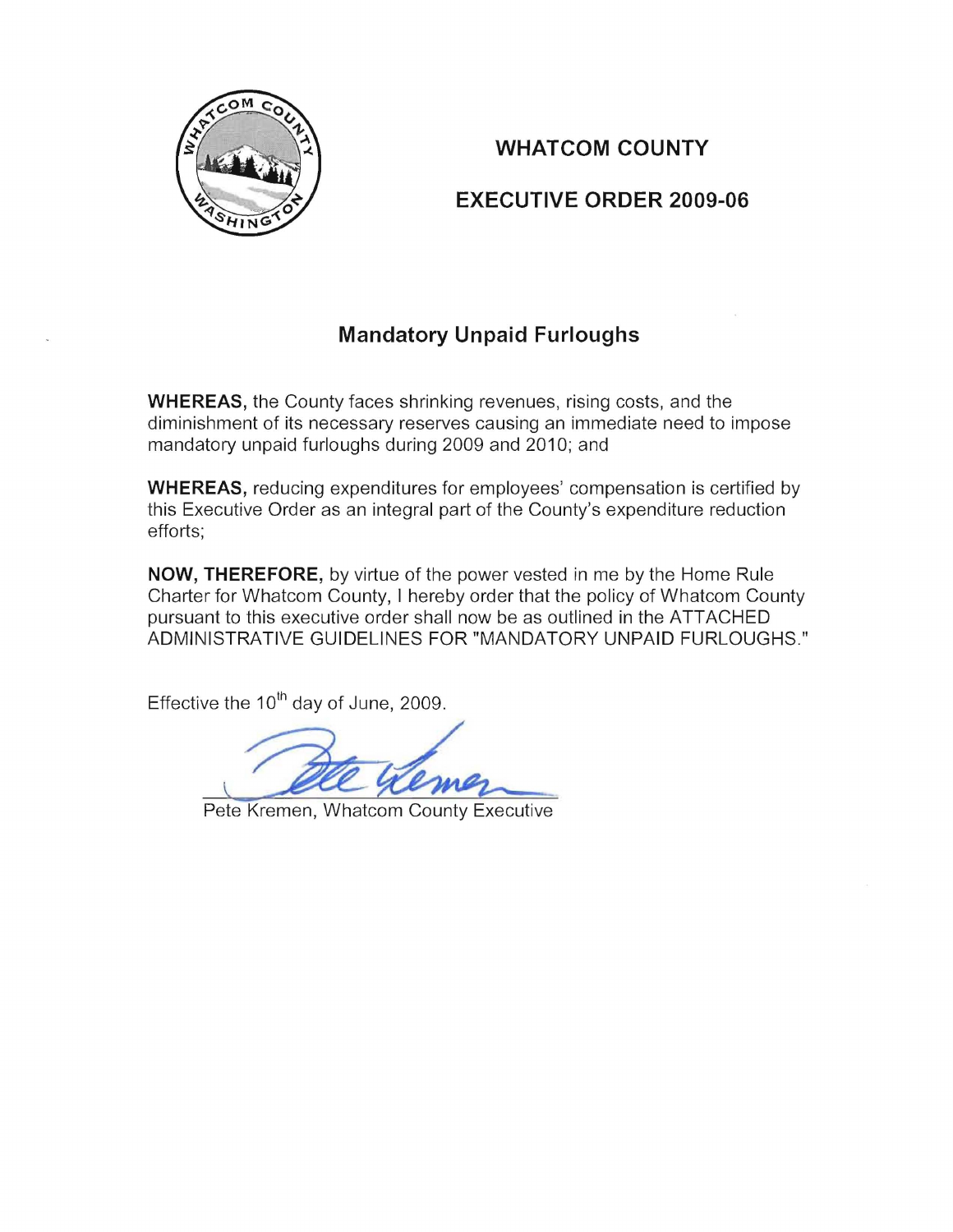

## **WHATCOM COUNTY**

## **EXECUTIVE ORDER 2009-06**

## **Mandatory Unpaid Furloughs**

**WHEREAS,** the County faces shrinking revenues, rising costs, and the diminishment of its necessary reserves causing an immediate need to impose mandatory unpaid furloughs during 2009 and 2010; and

**WHEREAS,** reducing expenditures for employees' compensation is certified by this Executive Order as an integral part of the County's expenditure reduction efforts;

**NOW, THEREFORE,** by virtue of the power vested in me by the Home Rule Charter for Whatcom County, I hereby order that the policy of Whatcom County pursuant to this executive order shall now be as outlined in the ATTACHED ADMINISTRATIVE GUIDELINES FOR "MANDATORY UNPAID FURLOUGHS."

Effective the  $10^{th}$  day of June, 2009.

**COUL Kemer**<br>Pete Kremen, Whatcom County Executive